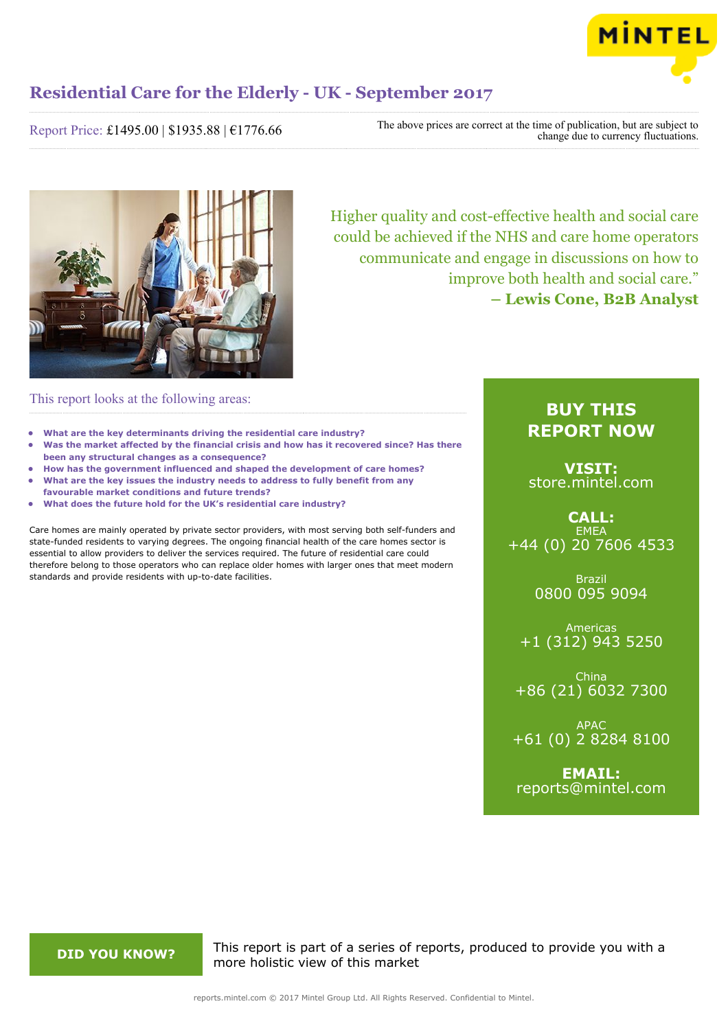

Report Price: £1495.00 | \$1935.88 | €1776.66

The above prices are correct at the time of publication, but are subject to change due to currency fluctuations.



Higher quality and cost-effective health and social care could be achieved if the NHS and care home operators communicate and engage in discussions on how to improve both health and social care." **– Lewis Cone, B2B Analyst**

### This report looks at the following areas:

- **• What are the key determinants driving the residential care industry?**
- **• Was the market affected by the financial crisis and how has it recovered since? Has there been any structural changes as a consequence?**
- **• How has the government influenced and shaped the development of care homes? • What are the key issues the industry needs to address to fully benefit from any**
- **favourable market conditions and future trends?**
- **• What does the future hold for the UK's residential care industry?**

Care homes are mainly operated by private sector providers, with most serving both self-funders and state-funded residents to varying degrees. The ongoing financial health of the care homes sector is essential to allow providers to deliver the services required. The future of residential care could therefore belong to those operators who can replace older homes with larger ones that meet modern standards and provide residents with up-to-date facilities.

### **BUY THIS REPORT NOW**

**VISIT:** [store.mintel.com](http://reports.mintel.com//display/store/795163/)

**CALL: EMEA** +44 (0) 20 7606 4533

> Brazil 0800 095 9094

Americas +1 (312) 943 5250

China +86 (21) 6032 7300

APAC +61 (0) 2 8284 8100

**EMAIL:** [reports@mintel.com](mailto:reports@mintel.com)

**DID YOU KNOW?** This report is part of a series of reports, produced to provide you with a more holistic view of this market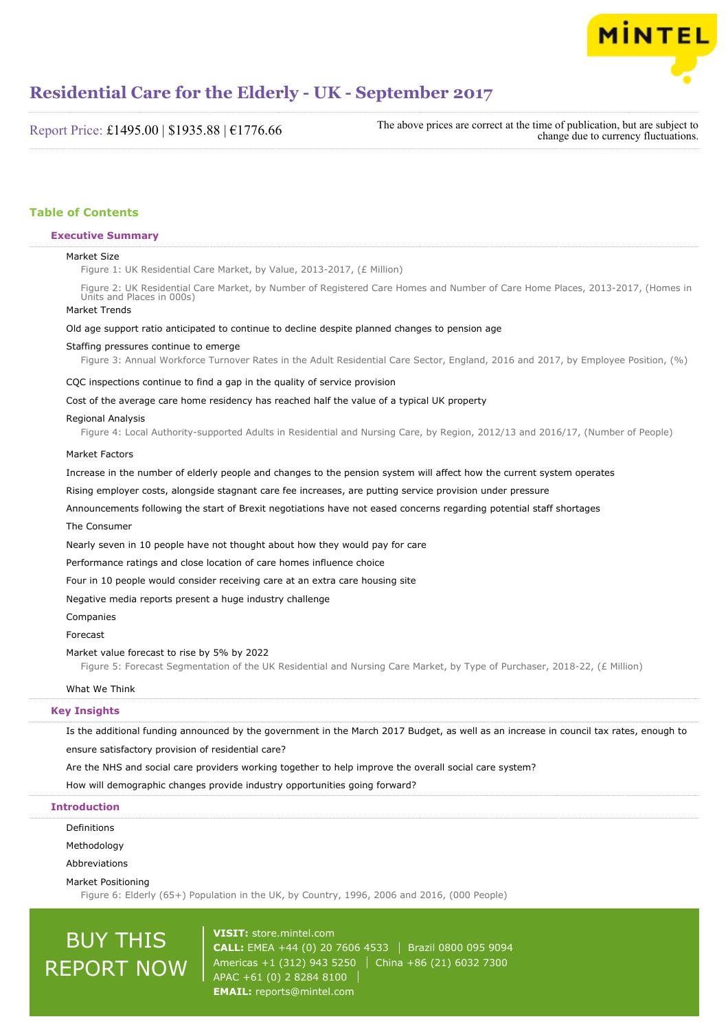

Report Price: £1495.00 | \$1935.88 | €1776.66

The above prices are correct at the time of publication, but are subject to change due to currency fluctuations.

#### **Table of Contents**

#### **Executive Summary**

#### Market Size

Figure 1: UK Residential Care Market, by Value, 2013-2017, (£ Million)

Figure 2: UK Residential Care Market, by Number of Registered Care Homes and Number of Care Home Places, 2013-2017, (Homes in Units and Places in 000s)

#### Market Trends

#### Old age support ratio anticipated to continue to decline despite planned changes to pension age

#### Staffing pressures continue to emerge

Figure 3: Annual Workforce Turnover Rates in the Adult Residential Care Sector, England, 2016 and 2017, by Employee Position, (%)

#### CQC inspections continue to find a gap in the quality of service provision

#### Cost of the average care home residency has reached half the value of a typical UK property

#### Regional Analysis

Figure 4: Local Authority-supported Adults in Residential and Nursing Care, by Region, 2012/13 and 2016/17, (Number of People)

#### Market Factors

Increase in the number of elderly people and changes to the pension system will affect how the current system operates

Rising employer costs, alongside stagnant care fee increases, are putting service provision under pressure

Announcements following the start of Brexit negotiations have not eased concerns regarding potential staff shortages

#### The Consumer

Nearly seven in 10 people have not thought about how they would pay for care

Performance ratings and close location of care homes influence choice

Four in 10 people would consider receiving care at an extra care housing site

Negative media reports present a huge industry challenge

#### Companies

#### Forecast

#### Market value forecast to rise by 5% by 2022

Figure 5: Forecast Segmentation of the UK Residential and Nursing Care Market, by Type of Purchaser, 2018-22, (£ Million)

#### What We Think

#### **Key Insights**

Is the additional funding announced by the government in the March 2017 Budget, as well as an increase in council tax rates, enough to ensure satisfactory provision of residential care?

Are the NHS and social care providers working together to help improve the overall social care system?

How will demographic changes provide industry opportunities going forward?

#### **Introduction**

Definitions

Methodology

Abbreviations

Market Positioning

Figure 6: Elderly (65+) Population in the UK, by Country, 1996, 2006 and 2016, (000 People)

# BUY THIS REPORT NOW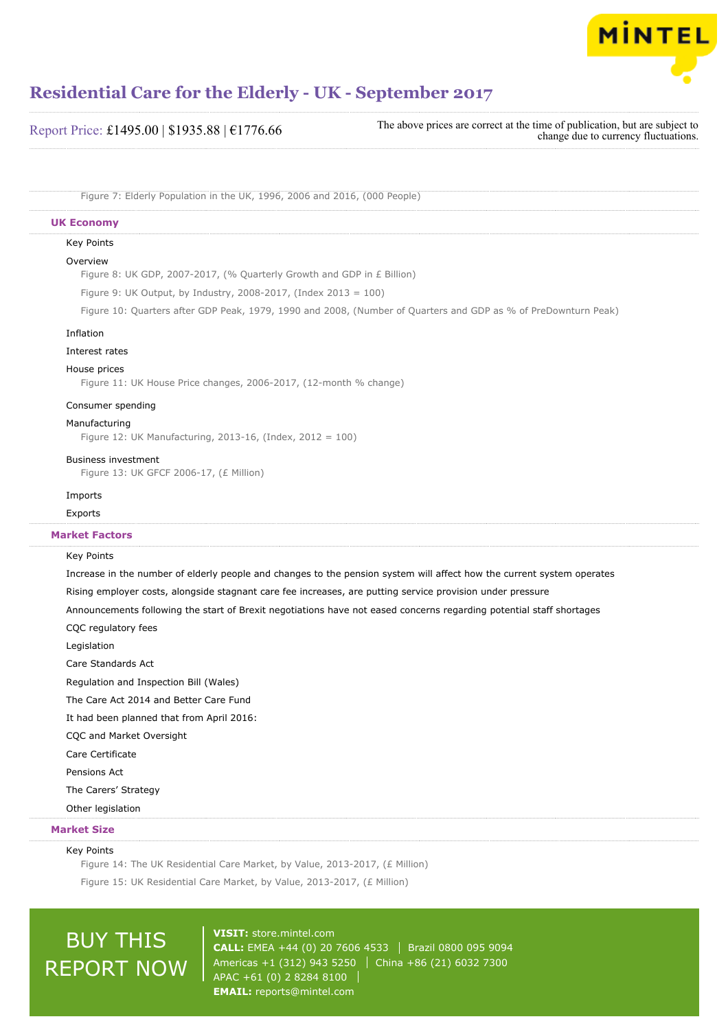

Report Price: £1495.00 | \$1935.88 | €1776.66

The above prices are correct at the time of publication, but are subject to change due to currency fluctuations.

Figure 7: Elderly Population in the UK, 1996, 2006 and 2016, (000 People)

#### **UK Economy**

#### Key Points

#### Overview

Figure 8: UK GDP, 2007-2017, (% Quarterly Growth and GDP in £ Billion)

Figure 9: UK Output, by Industry, 2008-2017, (Index 2013 = 100)

Figure 10: Quarters after GDP Peak, 1979, 1990 and 2008, (Number of Quarters and GDP as % of PreDownturn Peak)

#### Inflation

#### Interest rates

#### House prices

Figure 11: UK House Price changes, 2006-2017, (12-month % change)

#### Consumer spending

#### Manufacturing

Figure 12: UK Manufacturing, 2013-16, (Index, 2012 = 100)

#### Business investment

Figure 13: UK GFCF 2006-17, (£ Million)

#### Imports

Exports

#### **Market Factors**

#### Key Points

Increase in the number of elderly people and changes to the pension system will affect how the current system operates Rising employer costs, alongside stagnant care fee increases, are putting service provision under pressure Announcements following the start of Brexit negotiations have not eased concerns regarding potential staff shortages CQC regulatory fees Legislation Care Standards Act Regulation and Inspection Bill (Wales) The Care Act 2014 and Better Care Fund It had been planned that from April 2016: CQC and Market Oversight Care Certificate Pensions Act The Carers' Strategy

Other legislation

#### **Market Size**

#### Key Points

Figure 14: The UK Residential Care Market, by Value, 2013-2017, (£ Million) Figure 15: UK Residential Care Market, by Value, 2013-2017, (£ Million)

## BUY THIS REPORT NOW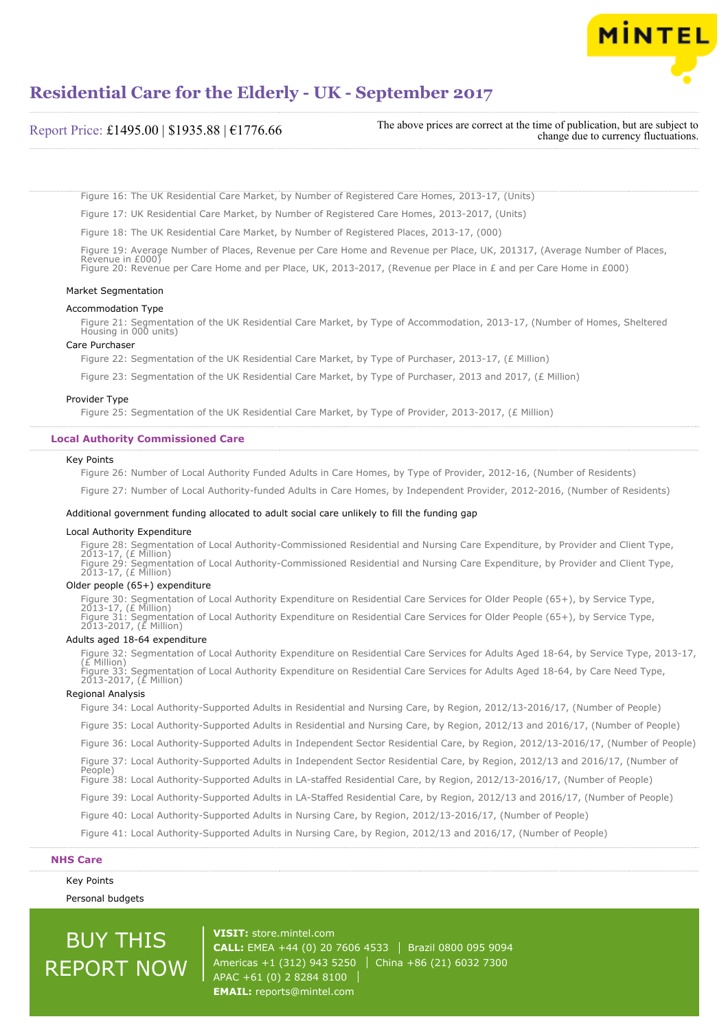

| Report Price: £1495.00   \$1935.88   $€1776.66$ | The above prices are correct at the time of publication, but are subject to<br>change due to currency fluctuations. |
|-------------------------------------------------|---------------------------------------------------------------------------------------------------------------------|
|-------------------------------------------------|---------------------------------------------------------------------------------------------------------------------|

Figure 16: The UK Residential Care Market, by Number of Registered Care Homes, 2013-17, (Units)

Figure 17: UK Residential Care Market, by Number of Registered Care Homes, 2013-2017, (Units)

Figure 18: The UK Residential Care Market, by Number of Registered Places, 2013-17, (000)

Figure 19: Average Number of Places, Revenue per Care Home and Revenue per Place, UK, 201317, (Average Number of Places, Revenue in £000) Figure 20: Revenue per Care Home and per Place, UK, 2013-2017, (Revenue per Place in £ and per Care Home in £000)

#### Market Segmentation

#### Accommodation Type

Figure 21: Segmentation of the UK Residential Care Market, by Type of Accommodation, 2013-17, (Number of Homes, Sheltered Housing in 000 units)

#### Care Purchaser

Figure 22: Segmentation of the UK Residential Care Market, by Type of Purchaser, 2013-17, (£ Million)

Figure 23: Segmentation of the UK Residential Care Market, by Type of Purchaser, 2013 and 2017, (£ Million)

#### Provider Type

Figure 25: Segmentation of the UK Residential Care Market, by Type of Provider, 2013-2017, (£ Million)

#### **Local Authority Commissioned Care**

#### Key Points

Figure 26: Number of Local Authority Funded Adults in Care Homes, by Type of Provider, 2012-16, (Number of Residents)

Figure 27: Number of Local Authority-funded Adults in Care Homes, by Independent Provider, 2012-2016, (Number of Residents)

#### Additional government funding allocated to adult social care unlikely to fill the funding gap

#### Local Authority Expenditure

Figure 28: Segmentation of Local Authority-Commissioned Residential and Nursing Care Expenditure, by Provider and Client Type, 2013-17, (£ Million) Figure 29: Segmentation of Local Authority-Commissioned Residential and Nursing Care Expenditure, by Provider and Client Type, 2013-17, (£ Million)

#### Older people (65+) expenditure

Figure 30: Segmentation of Local Authority Expenditure on Residential Care Services for Older People (65+), by Service Type, 2013-17, (£ Million) Figure 31: Segmentation of Local Authority Expenditure on Residential Care Services for Older People (65+), by Service Type, 2013-2017, (£ Million)

#### Adults aged 18-64 expenditure

Figure 32: Segmentation of Local Authority Expenditure on Residential Care Services for Adults Aged 18-64, by Service Type, 2013-17, (£ Million) Figure 33: Segmentation of Local Authority Expenditure on Residential Care Services for Adults Aged 18-64, by Care Need Type, 2013-2017, (£ Million)

#### Regional Analysis

Figure 34: Local Authority-Supported Adults in Residential and Nursing Care, by Region, 2012/13-2016/17, (Number of People) Figure 35: Local Authority-Supported Adults in Residential and Nursing Care, by Region, 2012/13 and 2016/17, (Number of People) Figure 36: Local Authority-Supported Adults in Independent Sector Residential Care, by Region, 2012/13-2016/17, (Number of People) Figure 37: Local Authority-Supported Adults in Independent Sector Residential Care, by Region, 2012/13 and 2016/17, (Number of People) Figure 38: Local Authority-Supported Adults in LA-staffed Residential Care, by Region, 2012/13-2016/17, (Number of People) Figure 39: Local Authority-Supported Adults in LA-Staffed Residential Care, by Region, 2012/13 and 2016/17, (Number of People) Figure 40: Local Authority-Supported Adults in Nursing Care, by Region, 2012/13-2016/17, (Number of People) Figure 41: Local Authority-Supported Adults in Nursing Care, by Region, 2012/13 and 2016/17, (Number of People)

#### **NHS Care**

Key Points

Personal budgets

## BUY THIS REPORT NOW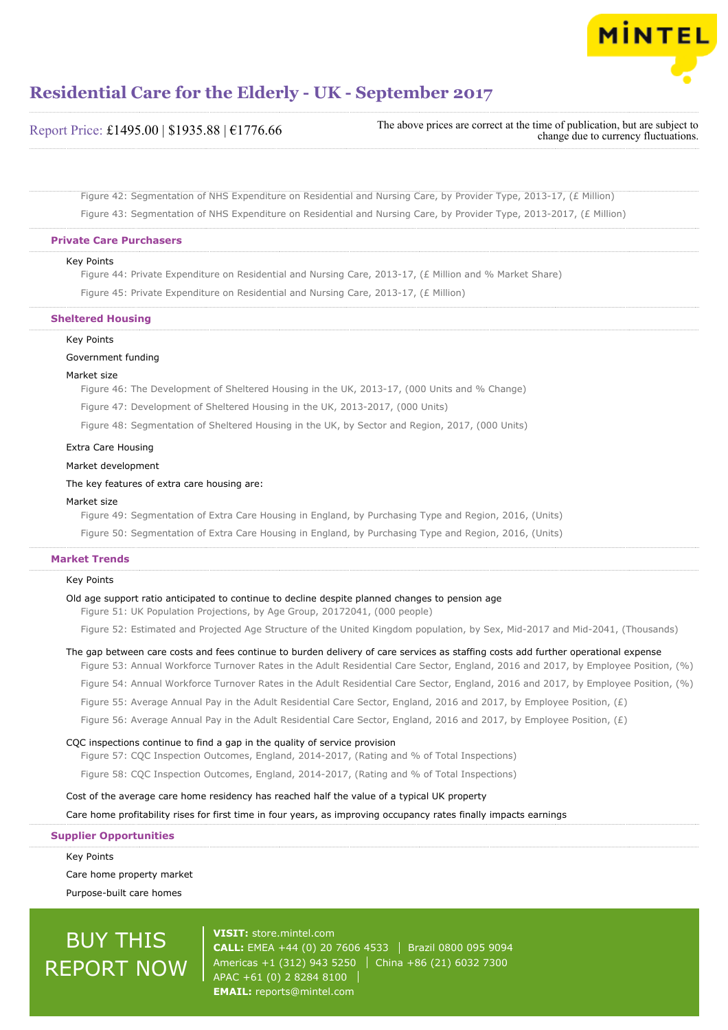

| Report Price: £1495.00   \$1935.88   €1776.66 |
|-----------------------------------------------|
|-----------------------------------------------|

The above prices are correct at the time of publication, but are subject to change due to currency fluctuations.

Figure 42: Segmentation of NHS Expenditure on Residential and Nursing Care, by Provider Type, 2013-17, (£ Million) Figure 43: Segmentation of NHS Expenditure on Residential and Nursing Care, by Provider Type, 2013-2017, (£ Million)

#### **Private Care Purchasers**

#### Key Points

Figure 44: Private Expenditure on Residential and Nursing Care, 2013-17, (£ Million and % Market Share)

Figure 45: Private Expenditure on Residential and Nursing Care, 2013-17, (£ Million)

#### **Sheltered Housing**

#### Key Points

#### Government funding

#### Market size

Figure 46: The Development of Sheltered Housing in the UK, 2013-17, (000 Units and % Change)

Figure 47: Development of Sheltered Housing in the UK, 2013-2017, (000 Units)

Figure 48: Segmentation of Sheltered Housing in the UK, by Sector and Region, 2017, (000 Units)

#### Extra Care Housing

Market development

The key features of extra care housing are:

#### Market size

Figure 49: Segmentation of Extra Care Housing in England, by Purchasing Type and Region, 2016, (Units)

Figure 50: Segmentation of Extra Care Housing in England, by Purchasing Type and Region, 2016, (Units)

#### **Market Trends**

#### Key Points

#### Old age support ratio anticipated to continue to decline despite planned changes to pension age

Figure 51: UK Population Projections, by Age Group, 20172041, (000 people)

Figure 52: Estimated and Projected Age Structure of the United Kingdom population, by Sex, Mid-2017 and Mid-2041, (Thousands)

#### The gap between care costs and fees continue to burden delivery of care services as staffing costs add further operational expense

Figure 53: Annual Workforce Turnover Rates in the Adult Residential Care Sector, England, 2016 and 2017, by Employee Position, (%)

Figure 54: Annual Workforce Turnover Rates in the Adult Residential Care Sector, England, 2016 and 2017, by Employee Position, (%)

Figure 55: Average Annual Pay in the Adult Residential Care Sector, England, 2016 and 2017, by Employee Position, (£)

Figure 56: Average Annual Pay in the Adult Residential Care Sector, England, 2016 and 2017, by Employee Position,  $(E)$ 

#### CQC inspections continue to find a gap in the quality of service provision

Figure 57: CQC Inspection Outcomes, England, 2014-2017, (Rating and % of Total Inspections)

Figure 58: CQC Inspection Outcomes, England, 2014-2017, (Rating and % of Total Inspections)

Cost of the average care home residency has reached half the value of a typical UK property

Care home profitability rises for first time in four years, as improving occupancy rates finally impacts earnings

**Supplier Opportunities**

Key Points Care home property market Purpose-built care homes

## BUY THIS REPORT NOW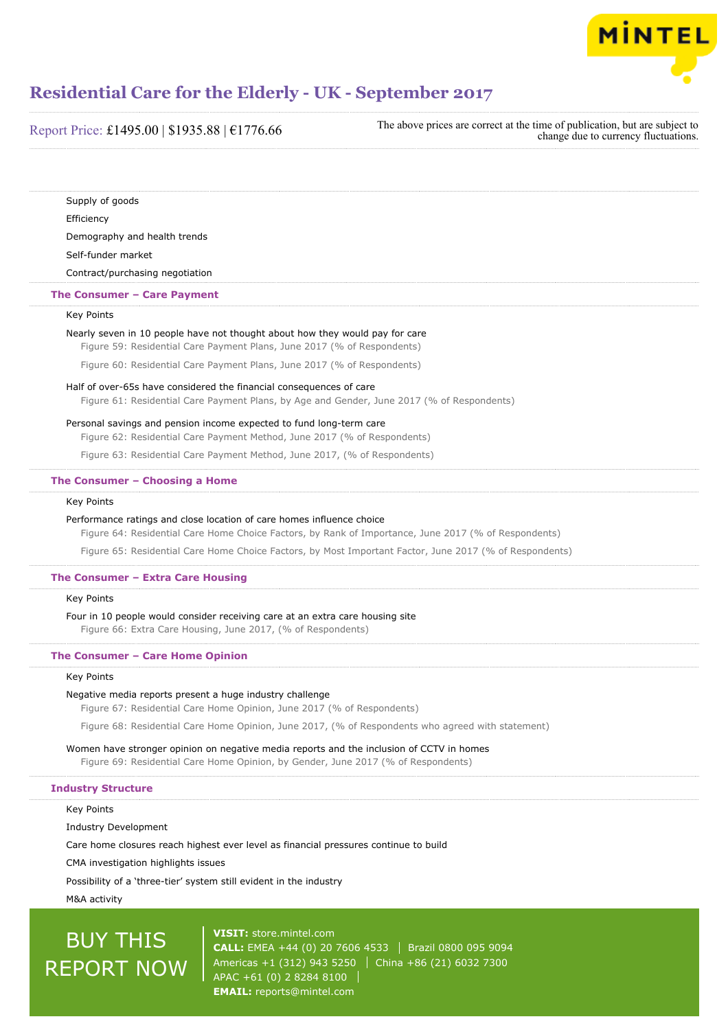

| Report Price: £1495.00   \$1935.88   $£1776.66$ |  |  |
|-------------------------------------------------|--|--|
|-------------------------------------------------|--|--|

The above prices are correct at the time of publication, but are subject to change due to currency fluctuations.

Supply of goods Efficiency Demography and health trends Self-funder market

Contract/purchasing negotiation

#### **The Consumer – Care Payment**

#### Key Points

#### Nearly seven in 10 people have not thought about how they would pay for care

Figure 59: Residential Care Payment Plans, June 2017 (% of Respondents)

Figure 60: Residential Care Payment Plans, June 2017 (% of Respondents)

#### Half of over-65s have considered the financial consequences of care

Figure 61: Residential Care Payment Plans, by Age and Gender, June 2017 (% of Respondents)

#### Personal savings and pension income expected to fund long-term care

Figure 62: Residential Care Payment Method, June 2017 (% of Respondents)

Figure 63: Residential Care Payment Method, June 2017, (% of Respondents)

#### **The Consumer – Choosing a Home**

#### Key Points

#### Performance ratings and close location of care homes influence choice

Figure 64: Residential Care Home Choice Factors, by Rank of Importance, June 2017 (% of Respondents)

Figure 65: Residential Care Home Choice Factors, by Most Important Factor, June 2017 (% of Respondents)

#### **The Consumer – Extra Care Housing**

#### Key Points

#### Four in 10 people would consider receiving care at an extra care housing site

Figure 66: Extra Care Housing, June 2017, (% of Respondents)

#### **The Consumer – Care Home Opinion**

#### Key Points

#### Negative media reports present a huge industry challenge

Figure 67: Residential Care Home Opinion, June 2017 (% of Respondents)

Figure 68: Residential Care Home Opinion, June 2017, (% of Respondents who agreed with statement)

#### Women have stronger opinion on negative media reports and the inclusion of CCTV in homes

Figure 69: Residential Care Home Opinion, by Gender, June 2017 (% of Respondents)

#### **Industry Structure**

Key Points

Industry Development

Care home closures reach highest ever level as financial pressures continue to build

CMA investigation highlights issues

Possibility of a 'three-tier' system still evident in the industry

M&A activity

## BUY THIS REPORT NOW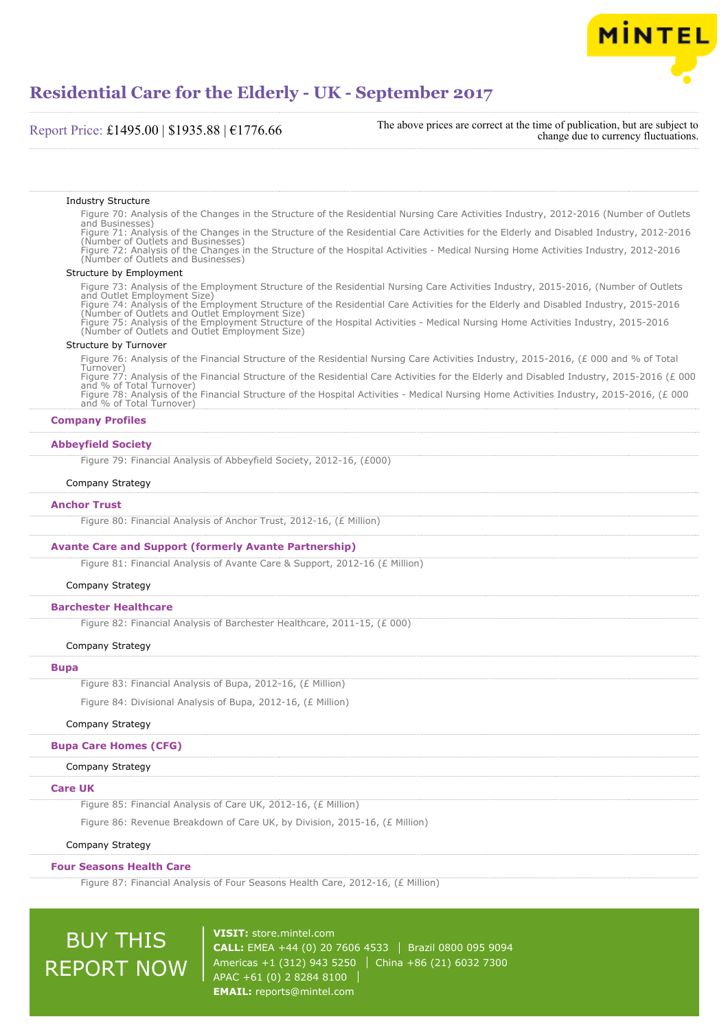

#### Report Price: £1495.00 | \$1935.88 | €1776.66

The above prices are correct at the time of publication, but are subject to change due to currency fluctuations.

#### Industry Structure

Figure 70: Analysis of the Changes in the Structure of the Residential Nursing Care Activities Industry, 2012-2016 (Number of Outlets and Businesses) Figure 71: Analysis of the Changes in the Structure of the Residential Care Activities for the Elderly and Disabled Industry, 2012-2016 (Number of Outlets and Businesses) Figure 72: Analysis of the Changes in the Structure of the Hospital Activities - Medical Nursing Home Activities Industry, 2012-2016

(Number of Outlets and Businesses)

#### Structure by Employment

Figure 73: Analysis of the Employment Structure of the Residential Nursing Care Activities Industry, 2015-2016, (Number of Outlets and Outlet Employment Size) Figure 74: Analysis of the Employment Structure of the Residential Care Activities for the Elderly and Disabled Industry, 2015-2016 (Number of Outlets and Outlet Employment Size) Figure 75: Analysis of the Employment Structure of the Hospital Activities - Medical Nursing Home Activities Industry, 2015-2016 (Number of Outlets and Outlet Employment Size)

#### Structure by Turnover

Figure 76: Analysis of the Financial Structure of the Residential Nursing Care Activities Industry, 2015-2016, (£ 000 and % of Total Turnover) Figure 77: Analysis of the Financial Structure of the Residential Care Activities for the Elderly and Disabled Industry, 2015-2016 (£ 000 and % of Total Turnover) Figure 78: Analysis of the Financial Structure of the Hospital Activities - Medical Nursing Home Activities Industry, 2015-2016, (£ 000 and % of Total Turnover)

#### **Company Profiles**

#### **Abbeyfield Society**

Figure 79: Financial Analysis of Abbeyfield Society, 2012-16, (£000)

#### Company Strategy

#### **Anchor Trust**

Figure 80: Financial Analysis of Anchor Trust, 2012-16, (£ Million)

#### **Avante Care and Support (formerly Avante Partnership)**

Figure 81: Financial Analysis of Avante Care & Support, 2012-16 (£ Million)

#### Company Strategy

#### **Barchester Healthcare**

Figure 82: Financial Analysis of Barchester Healthcare, 2011-15, (£ 000)

#### Company Strategy

#### **Bupa**

Figure 83: Financial Analysis of Bupa, 2012-16, (£ Million)

Figure 84: Divisional Analysis of Bupa, 2012-16, (£ Million)

#### Company Strategy

#### **Bupa Care Homes (CFG)**

#### Company Strategy

#### **Care UK**

Figure 85: Financial Analysis of Care UK, 2012-16, (£ Million)

Figure 86: Revenue Breakdown of Care UK, by Division, 2015-16, (£ Million)

#### Company Strategy

#### **Four Seasons Health Care**

Figure 87: Financial Analysis of Four Seasons Health Care, 2012-16, (£ Million)

## BUY THIS REPORT NOW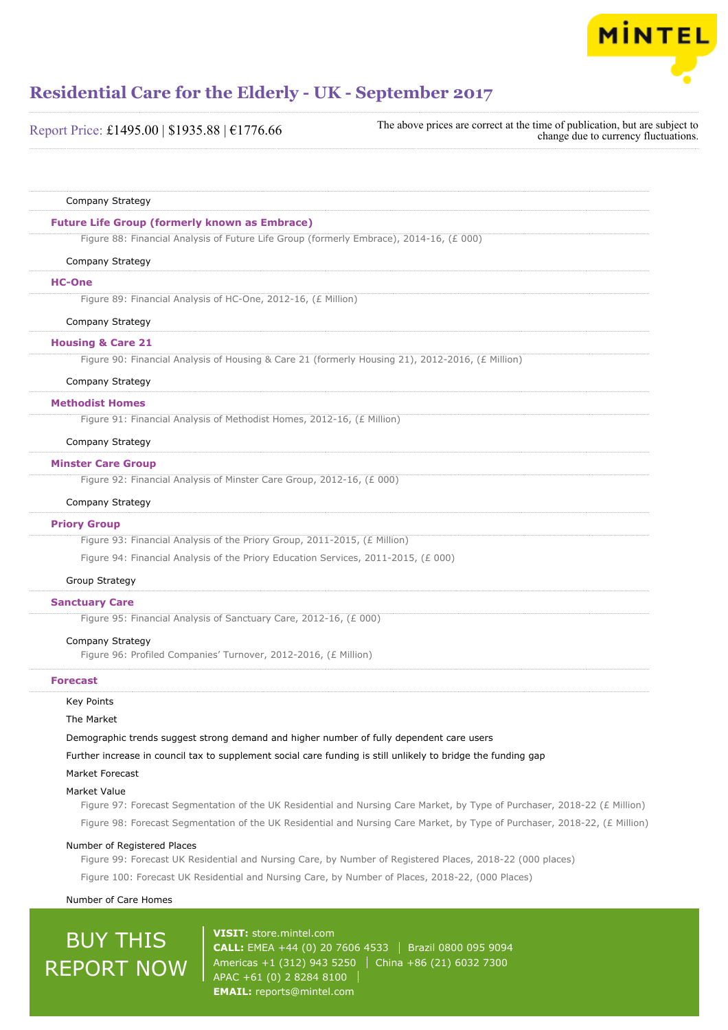

| Report Price: £1495.00   \$1935.88   €1776.66                                                                 | The above prices are correct at the time of publication, but are subject to<br>change due to currency fluctuations.        |
|---------------------------------------------------------------------------------------------------------------|----------------------------------------------------------------------------------------------------------------------------|
|                                                                                                               |                                                                                                                            |
| Company Strategy                                                                                              |                                                                                                                            |
| <b>Future Life Group (formerly known as Embrace)</b>                                                          |                                                                                                                            |
| Figure 88: Financial Analysis of Future Life Group (formerly Embrace), 2014-16, (£ 000)                       |                                                                                                                            |
| Company Strategy                                                                                              |                                                                                                                            |
| <b>HC-One</b>                                                                                                 |                                                                                                                            |
| Figure 89: Financial Analysis of HC-One, 2012-16, (£ Million)                                                 |                                                                                                                            |
| Company Strategy                                                                                              |                                                                                                                            |
| <b>Housing &amp; Care 21</b>                                                                                  |                                                                                                                            |
| Figure 90: Financial Analysis of Housing & Care 21 (formerly Housing 21), 2012-2016, (£ Million)              |                                                                                                                            |
| Company Strategy                                                                                              |                                                                                                                            |
| <b>Methodist Homes</b>                                                                                        |                                                                                                                            |
| Figure 91: Financial Analysis of Methodist Homes, 2012-16, (£ Million)                                        |                                                                                                                            |
| Company Strategy                                                                                              |                                                                                                                            |
| <b>Minster Care Group</b>                                                                                     |                                                                                                                            |
| Figure 92: Financial Analysis of Minster Care Group, 2012-16, (£ 000)                                         |                                                                                                                            |
| Company Strategy                                                                                              |                                                                                                                            |
| <b>Priory Group</b>                                                                                           |                                                                                                                            |
| Figure 93: Financial Analysis of the Priory Group, 2011-2015, (£ Million)                                     |                                                                                                                            |
| Figure 94: Financial Analysis of the Priory Education Services, 2011-2015, (£ 000)                            |                                                                                                                            |
| Group Strategy                                                                                                |                                                                                                                            |
| <b>Sanctuary Care</b>                                                                                         |                                                                                                                            |
| Figure 95: Financial Analysis of Sanctuary Care, 2012-16, (£ 000)                                             |                                                                                                                            |
| Company Strategy                                                                                              |                                                                                                                            |
| Figure 96: Profiled Companies' Turnover, 2012-2016, (£ Million)                                               |                                                                                                                            |
| <b>Forecast</b>                                                                                               |                                                                                                                            |
| Key Points                                                                                                    |                                                                                                                            |
| The Market                                                                                                    |                                                                                                                            |
| Demographic trends suggest strong demand and higher number of fully dependent care users                      |                                                                                                                            |
| Further increase in council tax to supplement social care funding is still unlikely to bridge the funding gap |                                                                                                                            |
| <b>Market Forecast</b>                                                                                        |                                                                                                                            |
| Market Value                                                                                                  | Figure 97: Forecast Segmentation of the UK Residential and Nursing Care Market, by Type of Purchaser, 2018-22 (£ Million)  |
|                                                                                                               | Figure 98: Forecast Segmentation of the UK Residential and Nursing Care Market, by Type of Purchaser, 2018-22, (£ Million) |

#### Number of Registered Places

Figure 99: Forecast UK Residential and Nursing Care, by Number of Registered Places, 2018-22 (000 places) Figure 100: Forecast UK Residential and Nursing Care, by Number of Places, 2018-22, (000 Places)

#### Number of Care Homes

## **BUY THIS** REPORT NOW